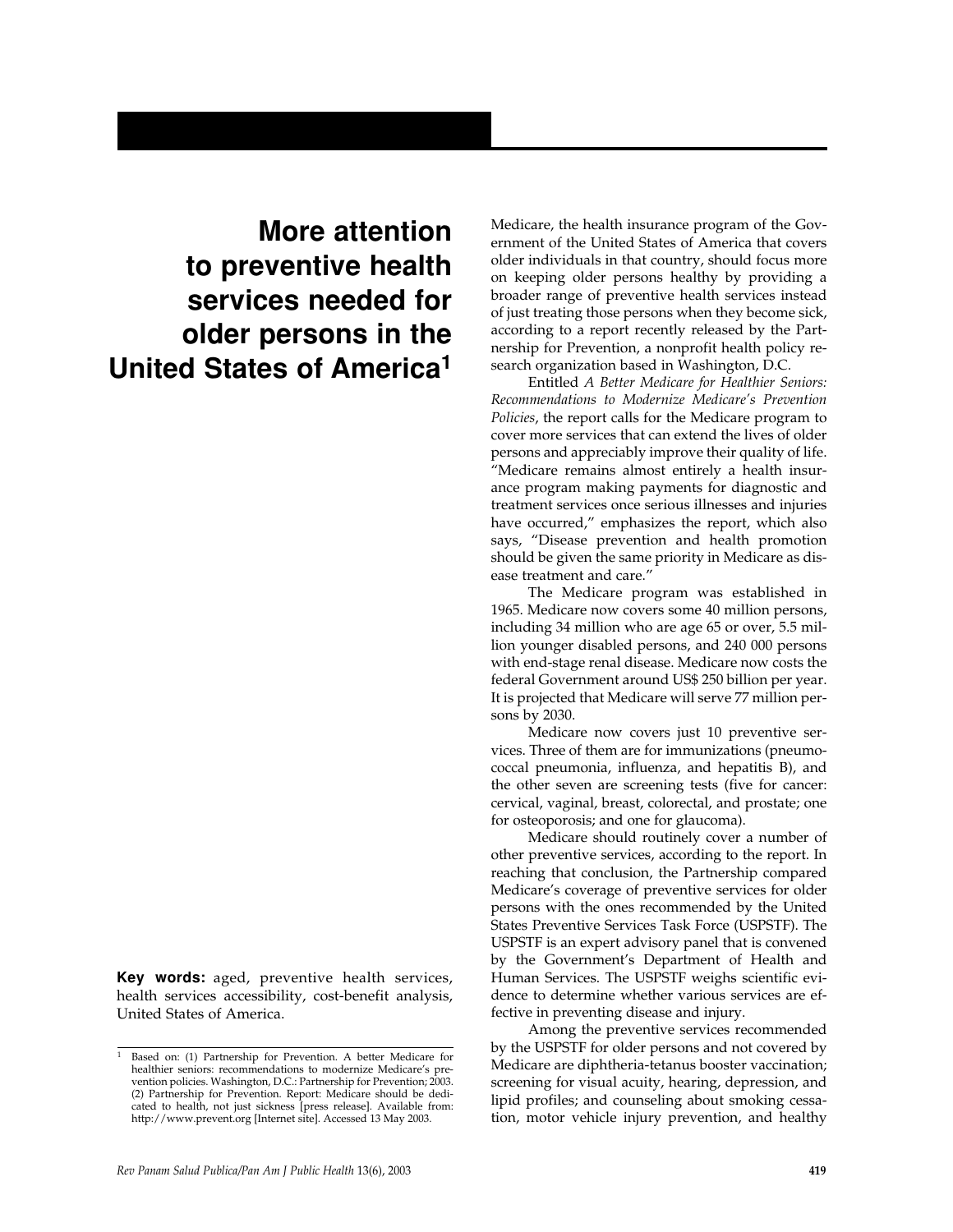## **More attention to preventive health services needed for older persons in the United States of America1**

**Key words:** aged, preventive health services, health services accessibility, cost-benefit analysis, United States of America.

Medicare, the health insurance program of the Government of the United States of America that covers older individuals in that country, should focus more on keeping older persons healthy by providing a broader range of preventive health services instead of just treating those persons when they become sick, according to a report recently released by the Partnership for Prevention, a nonprofit health policy research organization based in Washington, D.C.

Entitled *A Better Medicare for Healthier Seniors: Recommendations to Modernize Medicare's Prevention Policies*, the report calls for the Medicare program to cover more services that can extend the lives of older persons and appreciably improve their quality of life. "Medicare remains almost entirely a health insurance program making payments for diagnostic and treatment services once serious illnesses and injuries have occurred," emphasizes the report, which also says, "Disease prevention and health promotion should be given the same priority in Medicare as disease treatment and care."

The Medicare program was established in 1965. Medicare now covers some 40 million persons, including 34 million who are age 65 or over, 5.5 million younger disabled persons, and 240 000 persons with end-stage renal disease. Medicare now costs the federal Government around US\$ 250 billion per year. It is projected that Medicare will serve 77 million persons by 2030.

Medicare now covers just 10 preventive services. Three of them are for immunizations (pneumococcal pneumonia, influenza, and hepatitis B), and the other seven are screening tests (five for cancer: cervical, vaginal, breast, colorectal, and prostate; one for osteoporosis; and one for glaucoma).

Medicare should routinely cover a number of other preventive services, according to the report. In reaching that conclusion, the Partnership compared Medicare's coverage of preventive services for older persons with the ones recommended by the United States Preventive Services Task Force (USPSTF). The USPSTF is an expert advisory panel that is convened by the Government's Department of Health and Human Services. The USPSTF weighs scientific evidence to determine whether various services are effective in preventing disease and injury.

Among the preventive services recommended by the USPSTF for older persons and not covered by Medicare are diphtheria-tetanus booster vaccination; screening for visual acuity, hearing, depression, and lipid profiles; and counseling about smoking cessation, motor vehicle injury prevention, and healthy

<sup>1</sup> Based on: (1) Partnership for Prevention. A better Medicare for healthier seniors: recommendations to modernize Medicare's prevention policies. Washington, D.C.: Partnership for Prevention; 2003. (2) Partnership for Prevention. Report: Medicare should be dedicated to health, not just sickness [press release]. Available from: http://www.prevent.org [Internet site]. Accessed 13 May 2003.